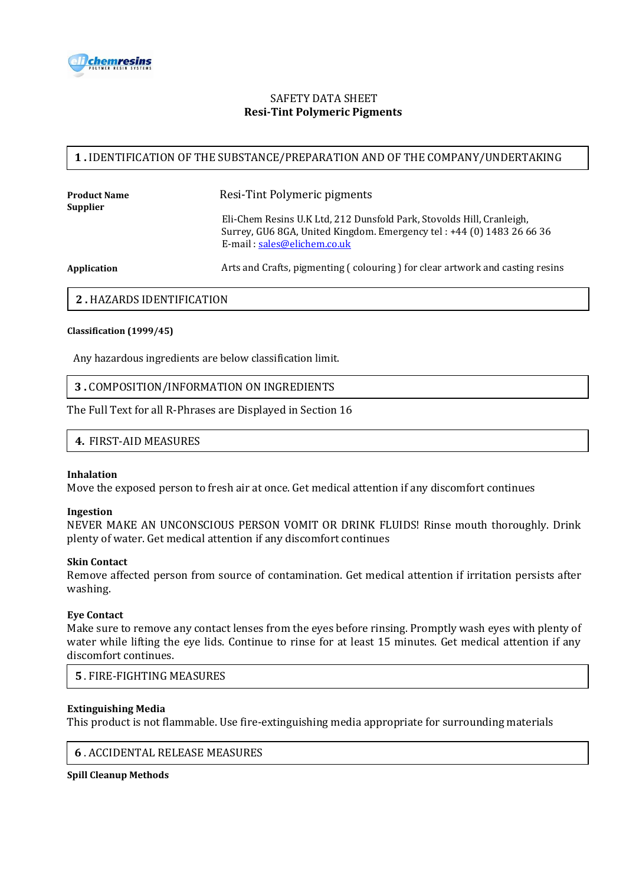

# SAFETY DATA SHEET  **Resi-Tint Polymeric Pigments**

# **1 .** IDENTIFICATION OF THE SUBSTANCE/PREPARATION AND OF THE COMPANY/UNDERTAKING

| Product Name<br>Supplier | Resi-Tint Polymeric pigments                                                                                                                                                  |
|--------------------------|-------------------------------------------------------------------------------------------------------------------------------------------------------------------------------|
|                          | Eli-Chem Resins U.K Ltd, 212 Dunsfold Park, Stovolds Hill, Cranleigh,<br>Surrey, GU6 8GA, United Kingdom. Emergency tel: +44 (0) 1483 26 66 36<br>E-mail: sales@elichem.co.uk |

Application **Arts and Crafts, pigmenting ( colouring )** for clear artwork and casting resins

# **2 .** HAZARDS IDENTIFICATION

#### **Classification (1999/45)**

Any hazardous ingredients are below classification limit.

## **3 .** COMPOSITION/INFORMATION ON INGREDIENTS

The Full Text for all R-Phrases are Displayed in Section 16

**4.** FIRST-AID MEASURES

#### **Inhalation**

Move the exposed person to fresh air at once. Get medical attention if any discomfort continues

#### **Ingestion**

NEVER MAKE AN UNCONSCIOUS PERSON VOMIT OR DRINK FLUIDS! Rinse mouth thoroughly. Drink plenty of water. Get medical attention if any discomfort continues

#### **Skin Contact**

Remove affected person from source of contamination. Get medical attention if irritation persists after washing.

### **Eye Contact**

Make sure to remove any contact lenses from the eyes before rinsing. Promptly wash eyes with plenty of water while lifting the eye lids. Continue to rinse for at least 15 minutes. Get medical attention if any discomfort continues.

## **5** . FIRE-FIGHTING MEASURES

#### **Extinguishing Media**

This product is not flammable. Use fire-extinguishing media appropriate for surrounding materials

## **6** . ACCIDENTAL RELEASE MEASURES

**Spill Cleanup Methods**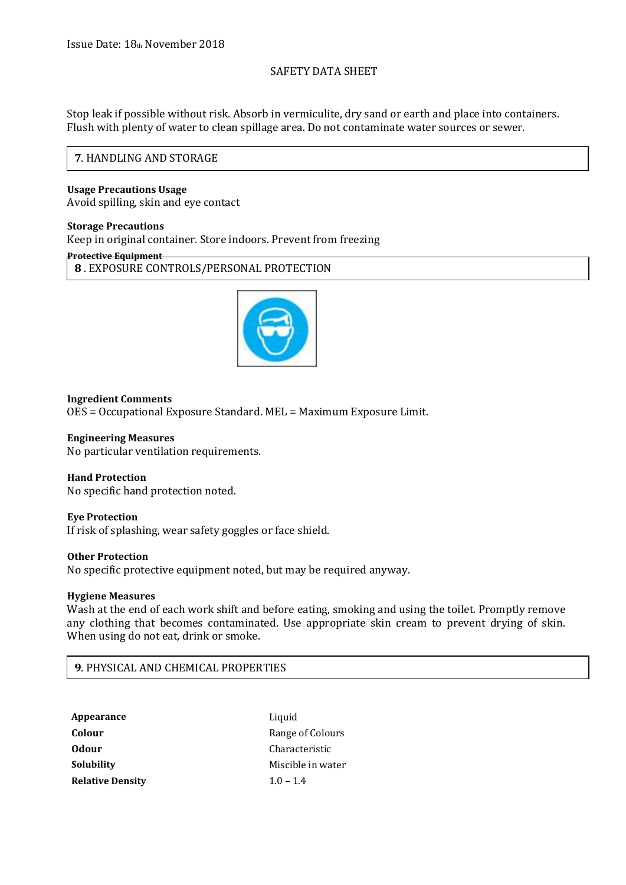## SAFETY DATA SHEET

Stop leak if possible without risk. Absorb in vermiculite, dry sand or earth and place into containers. Flush with plenty of water to clean spillage area. Do not contaminate water sources or sewer.

## **7**. HANDLING AND STORAGE

#### **Usage Precautions Usage** Avoid spilling, skin and eye contact

#### **Storage Precautions**

Keep in original container. Store indoors. Prevent from freezing

### **Protective Equipment**

**8** . EXPOSURE CONTROLS/PERSONAL PROTECTION



## **Ingredient Comments**

OES = Occupational Exposure Standard. MEL = Maximum Exposure Limit.

### **Engineering Measures**

No particular ventilation requirements.

## **Hand Protection**

No specific hand protection noted.

## **Eye Protection**

If risk of splashing, wear safety goggles or face shield.

#### **Other Protection**

No specific protective equipment noted, but may be required anyway.

## **Hygiene Measures**

Wash at the end of each work shift and before eating, smoking and using the toilet. Promptly remove any clothing that becomes contaminated. Use appropriate skin cream to prevent drying of skin. When using do not eat, drink or smoke.

# **9**. PHYSICAL AND CHEMICAL PROPERTIES

| Appearance              | Liquid            |
|-------------------------|-------------------|
| Colour                  | Range of Colours  |
| <b>Odour</b>            | Characteristic    |
| Solubility              | Miscible in water |
| <b>Relative Density</b> | $1.0 - 1.4$       |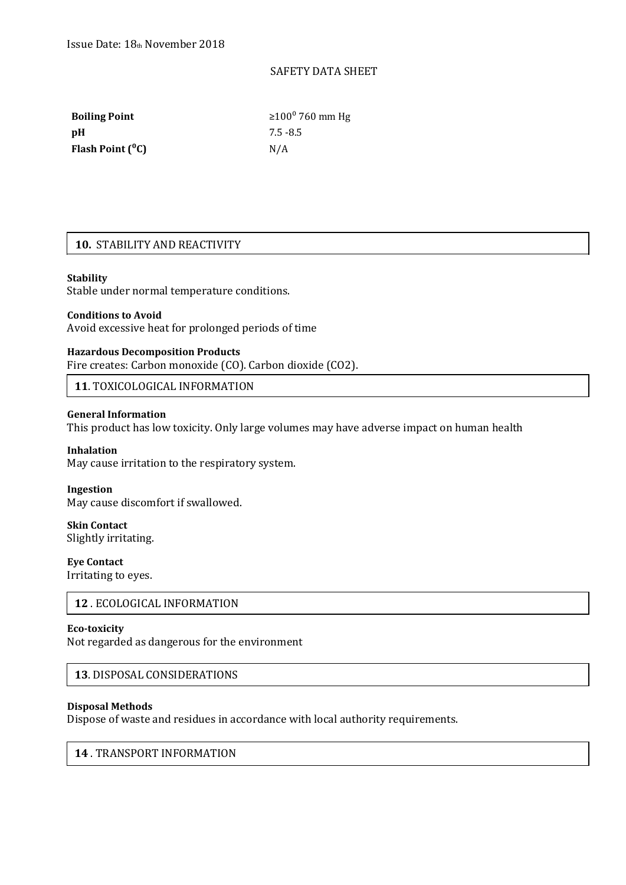## SAFETY DATA SHEET

**pH** 7.5 -8.5 Flash Point (<sup>o</sup>C) N/A

**Boiling Point** ≥100<sup>0</sup> 760 mm Hg

# **10.** STABILITY AND REACTIVITY

#### **Stability**

Stable under normal temperature conditions.

#### **Conditions to Avoid**

Avoid excessive heat for prolonged periods of time

## **Hazardous Decomposition Products**

Fire creates: Carbon monoxide (CO). Carbon dioxide (CO2).

**11**. TOXICOLOGICAL INFORMATION

## **General Information**

This product has low toxicity. Only large volumes may have adverse impact on human health

#### **Inhalation**

May cause irritation to the respiratory system.

#### **Ingestion**

May cause discomfort if swallowed.

**Skin Contact** Slightly irritating.

**Eye Contact**

Irritating to eyes.

# **12** . ECOLOGICAL INFORMATION

#### **Eco-toxicity**

Not regarded as dangerous for the environment

## **13**. DISPOSAL CONSIDERATIONS

#### **Disposal Methods**

Dispose of waste and residues in accordance with local authority requirements.

# **14** . TRANSPORT INFORMATION